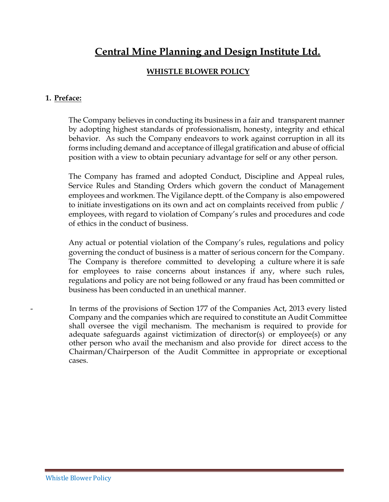# **Central Mine Planning and Design Institute Ltd.**

# **WHISTLE BLOWER POLICY**

#### **1. Preface:**

The Company believes in conducting its business in a fair and transparent manner by adopting highest standards of professionalism, honesty, integrity and ethical behavior. As such the Company endeavors to work against corruption in all its forms including demand and acceptance of illegal gratification and abuse of official position with a view to obtain pecuniary advantage for self or any other person.

The Company has framed and adopted Conduct, Discipline and Appeal rules, Service Rules and Standing Orders which govern the conduct of Management employees and workmen. The Vigilance deptt. of the Company is also empowered to initiate investigations on its own and act on complaints received from public / employees, with regard to violation of Company's rules and procedures and code of ethics in the conduct of business.

Any actual or potential violation of the Company's rules, regulations and policy governing the conduct of business is a matter of serious concern for the Company. The Company is therefore committed to developing a culture where it is safe for employees to raise concerns about instances if any, where such rules, regulations and policy are not being followed or any fraud has been committed or business has been conducted in an unethical manner.

In terms of the provisions of Section 177 of the Companies Act, 2013 every listed Company and the companies which are required to constitute an Audit Committee shall oversee the vigil mechanism. The mechanism is required to provide for adequate safeguards against victimization of director(s) or employee(s) or any other person who avail the mechanism and also provide for direct access to the Chairman/Chairperson of the Audit Committee in appropriate or exceptional cases.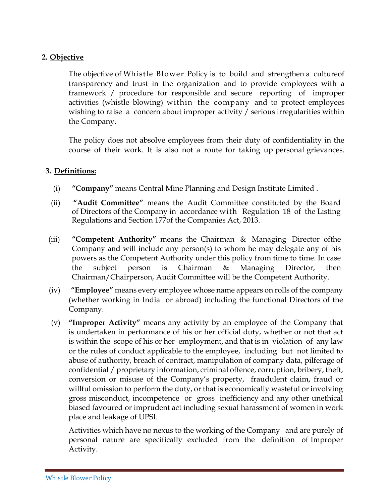## **2. Objective**

The objective of Whistle Blower Policy is to build and strengthen a cultureof transparency and trust in the organization and to provide employees with a framework / procedure for responsible and secure reporting of improper activities (whistle blowing) within the company and to protect employees wishing to raise a concern about improper activity / serious irregularities within the Company.

The policy does not absolve employees from their duty of confidentiality in the course of their work. It is also not a route for taking up personal grievances.

#### **3. Definitions:**

- (i) **"Company"** means Central Mine Planning and Design Institute Limited .
- (ii) **"Audit Committee"** means the Audit Committee constituted by the Board of Directors of the Company in accordance with Regulation 18 of the Listing Regulations and Section 177of the Companies Act, 2013.
- (iii) **"Competent Authority"** means the Chairman & Managing Director ofthe Company and will include any person(s) to whom he may delegate any of his powers as the Competent Authority under this policy from time to time. In case the subject person is Chairman & Managing Director, then Chairman/Chairperson, Audit Committee will be the Competent Authority.
- (iv) **"Employee"** means every employee whose name appears on rolls of the company (whether working in India or abroad) including the functional Directors of the Company.
- (v) **"Improper Activity"** means any activity by an employee of the Company that is undertaken in performance of his or her official duty, whether or not that act is within the scope of his or her employment, and that is in violation of any law or the rules of conduct applicable to the employee, including but not limited to abuse of authority, breach of contract, manipulation of company data, pilferage of confidential / proprietary information, criminal offence, corruption, bribery, theft, conversion or misuse of the Company's property, fraudulent claim, fraud or willful omission to perform the duty, or that is economically wasteful or involving gross misconduct, incompetence or gross inefficiency and any other unethical biased favoured or imprudent act including sexual harassment of women in work place and leakage of UPSI.

Activities which have no nexus to the working of the Company and are purely of personal nature are specifically excluded from the definition of Improper Activity.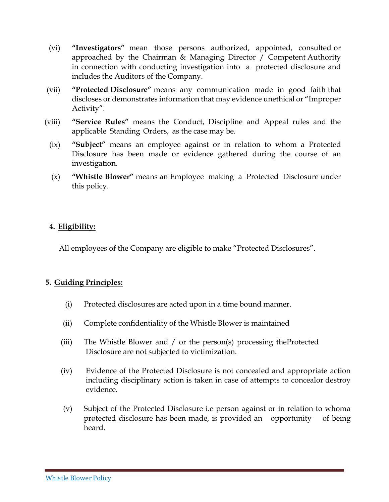- (vi) **"Investigators"** mean those persons authorized, appointed, consulted or approached by the Chairman & Managing Director / Competent Authority in connection with conducting investigation into a protected disclosure and includes the Auditors of the Company.
- (vii) **"Protected Disclosure"** means any communication made in good faith that discloses or demonstrates information that may evidence unethical or "Improper Activity".
- (viii) **"Service Rules"** means the Conduct, Discipline and Appeal rules and the applicable Standing Orders, as the case may be.
	- (ix) **"Subject"** means an employee against or in relation to whom a Protected Disclosure has been made or evidence gathered during the course of an investigation.
	- (x) **"Whistle Blower"** means an Employee making a Protected Disclosure under this policy.

#### **4. Eligibility:**

All employees of the Company are eligible to make "Protected Disclosures".

#### **5. Guiding Principles:**

- (i) Protected disclosures are acted upon in a time bound manner.
- (ii) Complete confidentiality of the Whistle Blower is maintained
- (iii) The Whistle Blower and / or the person(s) processing theProtected Disclosure are not subjected to victimization.
- (iv) Evidence of the Protected Disclosure is not concealed and appropriate action including disciplinary action is taken in case of attempts to concealor destroy evidence.
- (v) Subject of the Protected Disclosure i.e person against or in relation to whoma protected disclosure has been made, is provided an opportunity of being heard.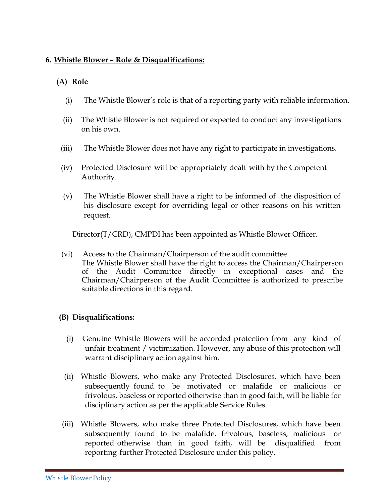#### **6. Whistle Blower – Role & Disqualifications:**

## **(A) Role**

- (i) The Whistle Blower's role is that of a reporting party with reliable information.
- (ii) The Whistle Blower is not required or expected to conduct any investigations on his own.
- (iii) The Whistle Blower does not have any right to participate in investigations.
- (iv) Protected Disclosure will be appropriately dealt with by the Competent Authority.
- (v) The Whistle Blower shall have a right to be informed of the disposition of his disclosure except for overriding legal or other reasons on his written request.

Director(T/CRD), CMPDI has been appointed as Whistle Blower Officer.

(vi) Access to the Chairman/Chairperson of the audit committee The Whistle Blower shall have the right to access the Chairman/Chairperson of the Audit Committee directly in exceptional cases and the Chairman/Chairperson of the Audit Committee is authorized to prescribe suitable directions in this regard.

#### **(B) Disqualifications:**

- (i) Genuine Whistle Blowers will be accorded protection from any kind of unfair treatment / victimization. However, any abuse of this protection will warrant disciplinary action against him.
- (ii) Whistle Blowers, who make any Protected Disclosures, which have been subsequently found to be motivated or malafide or malicious or frivolous, baseless or reported otherwise than in good faith, will be liable for disciplinary action as per the applicable Service Rules.
- (iii) Whistle Blowers, who make three Protected Disclosures, which have been subsequently found to be malafide, frivolous, baseless, malicious or reported otherwise than in good faith, will be disqualified from reporting further Protected Disclosure under this policy.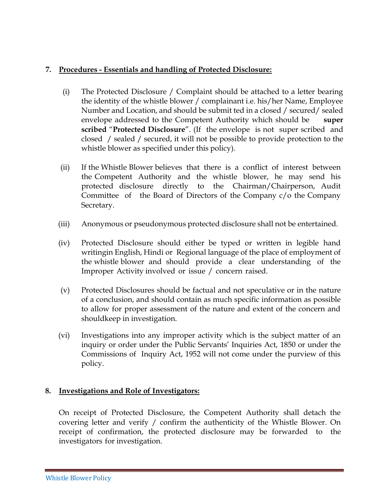## **7. Procedures - Essentials and handling of Protected Disclosure:**

- (i) The Protected Disclosure / Complaint should be attached to a letter bearing the identity of the whistle blower / complainant i.e. his/her Name, Employee Number and Location, and should be submit ted in a closed / secured/ sealed envelope addressed to the Competent Authority which should be **super scribed** "**Protected Disclosure**". (If the envelope is not super scribed and closed / sealed / secured, it will not be possible to provide protection to the whistle blower as specified under this policy).
- (ii) If the Whistle Blower believes that there is a conflict of interest between the Competent Authority and the whistle blower, he may send his protected disclosure directly to the Chairman/Chairperson, Audit Committee of the Board of Directors of the Company c/o the Company Secretary.
- (iii) Anonymous or pseudonymous protected disclosure shall not be entertained.
- (iv) Protected Disclosure should either be typed or written in legible hand writingin English, Hindi or Regional language of the place of employment of the whistle blower and should provide a clear understanding of the Improper Activity involved or issue / concern raised.
- (v) Protected Disclosures should be factual and not speculative or in the nature of a conclusion, and should contain as much specific information as possible to allow for proper assessment of the nature and extent of the concern and shouldkeep in investigation.
- (vi) Investigations into any improper activity which is the subject matter of an inquiry or order under the Public Servants' Inquiries Act, 1850 or under the Commissions of Inquiry Act, 1952 will not come under the purview of this policy.

#### **8. Investigations and Role of Investigators:**

On receipt of Protected Disclosure, the Competent Authority shall detach the covering letter and verify / confirm the authenticity of the Whistle Blower. On receipt of confirmation, the protected disclosure may be forwarded to the investigators for investigation.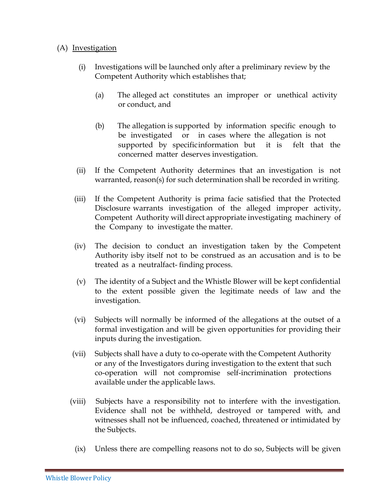#### (A) Investigation

- (i) Investigations will be launched only after a preliminary review by the Competent Authority which establishes that;
	- (a) The alleged act constitutes an improper or unethical activity or conduct, and
	- (b) The allegation is supported by information specific enough to be investigated or in cases where the allegation is not supported by specificinformation but it is felt that the concerned matter deserves investigation.
- (ii) If the Competent Authority determines that an investigation is not warranted, reason(s) for such determination shall be recorded in writing.
- (iii) If the Competent Authority is prima facie satisfied that the Protected Disclosure warrants investigation of the alleged improper activity, Competent Authority will direct appropriate investigating machinery of the Company to investigate the matter.
- (iv) The decision to conduct an investigation taken by the Competent Authority isby itself not to be construed as an accusation and is to be treated as a neutralfact- finding process.
- (v) The identity of a Subject and the Whistle Blower will be kept confidential to the extent possible given the legitimate needs of law and the investigation.
- (vi) Subjects will normally be informed of the allegations at the outset of a formal investigation and will be given opportunities for providing their inputs during the investigation.
- (vii) Subjects shall have a duty to co-operate with the Competent Authority or any of the Investigators during investigation to the extent that such co-operation will not compromise self-incrimination protections available under the applicable laws.
- (viii) Subjects have a responsibility not to interfere with the investigation. Evidence shall not be withheld, destroyed or tampered with, and witnesses shall not be influenced, coached, threatened or intimidated by the Subjects.
	- (ix) Unless there are compelling reasons not to do so, Subjects will be given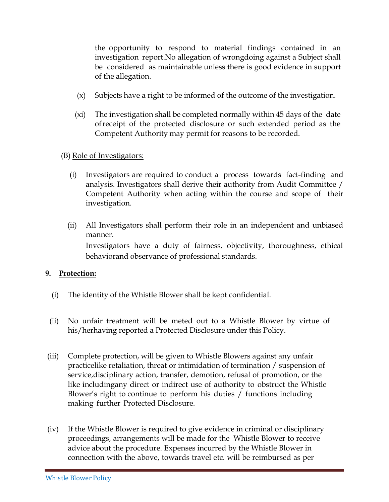the opportunity to respond to material findings contained in an investigation report.No allegation of wrongdoing against a Subject shall be considered as maintainable unless there is good evidence in support of the allegation.

- (x) Subjects have a right to be informed of the outcome of the investigation.
- (xi) The investigation shall be completed normally within 45 days of the date ofreceipt of the protected disclosure or such extended period as the Competent Authority may permit for reasons to be recorded.
- (B) <u>Role of Investigators:</u>
	- (i) Investigators are required to conduct a process towards fact-finding and analysis. Investigators shall derive their authority from Audit Committee / Competent Authority when acting within the course and scope of their investigation.
	- (ii) All Investigators shall perform their role in an independent and unbiased manner. Investigators have a duty of fairness, objectivity, thoroughness, ethical behaviorand observance of professional standards.

#### **9. Protection:**

- (i) The identity of the Whistle Blower shall be kept confidential.
- (ii) No unfair treatment will be meted out to a Whistle Blower by virtue of his/herhaving reported a Protected Disclosure under this Policy.
- (iii) Complete protection, will be given to Whistle Blowers against any unfair practicelike retaliation, threat or intimidation of termination / suspension of service,disciplinary action, transfer, demotion, refusal of promotion, or the like includingany direct or indirect use of authority to obstruct the Whistle Blower's right to continue to perform his duties / functions including making further Protected Disclosure.
- (iv) If the Whistle Blower is required to give evidence in criminal or disciplinary proceedings, arrangements will be made for the Whistle Blower to receive advice about the procedure. Expenses incurred by the Whistle Blower in connection with the above, towards travel etc. will be reimbursed as per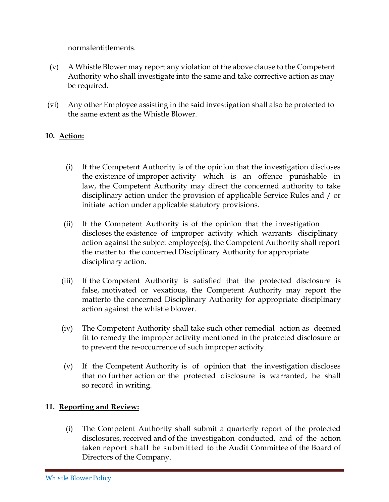normalentitlements.

- (v) A Whistle Blower may report any violation of the above clause to the Competent Authority who shall investigate into the same and take corrective action as may be required.
- (vi) Any other Employee assisting in the said investigation shall also be protected to the same extent as the Whistle Blower.

# **10. Action:**

- (i) If the Competent Authority is of the opinion that the investigation discloses the existence of improper activity which is an offence punishable in law, the Competent Authority may direct the concerned authority to take disciplinary action under the provision of applicable Service Rules and / or initiate action under applicable statutory provisions.
- (ii) If the Competent Authority is of the opinion that the investigation discloses the existence of improper activity which warrants disciplinary action against the subject employee(s), the Competent Authority shall report the matter to the concerned Disciplinary Authority for appropriate disciplinary action.
- (iii) If the Competent Authority is satisfied that the protected disclosure is false, motivated or vexatious, the Competent Authority may report the matterto the concerned Disciplinary Authority for appropriate disciplinary action against the whistle blower.
- (iv) The Competent Authority shall take such other remedial action as deemed fit to remedy the improper activity mentioned in the protected disclosure or to prevent the re-occurrence of such improper activity.
- (v) If the Competent Authority is of opinion that the investigation discloses that no further action on the protected disclosure is warranted, he shall so record in writing.

#### **11. Reporting and Review:**

(i) The Competent Authority shall submit a quarterly report of the protected disclosures, received and of the investigation conducted, and of the action taken report shall be submitted to the Audit Committee of the Board of Directors of the Company.